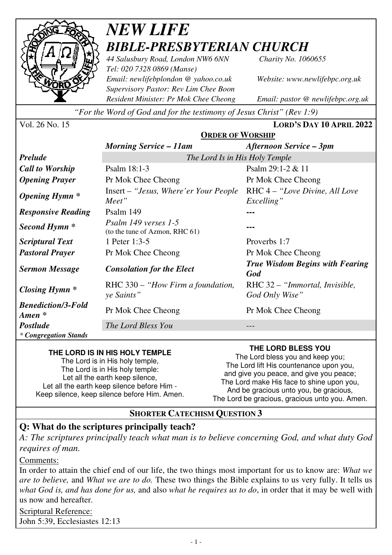

## *NEW LIFE BIBLE-PRESBYTERIAN CHURCH*

*44 Salusbury Road, London NW6 6NN Charity No. 1060655 Tel: 020 7328 0869 (Manse) Email: newlifebplondon @ yahoo.co.uk Website: www.newlifebpc.org.uk Supervisory Pastor: Rev Lim Chee Boon Resident Minister: Pr Mok Chee Cheong Email: pastor @ newlifebpc.org.uk* 

*"For the Word of God and for the testimony of Jesus Christ" (Rev 1:9)*

| Vol. 26 No. 15 |  |  |  |
|----------------|--|--|--|
|----------------|--|--|--|

Vol. 26 No. 15 **LORD'S DAY 10 APRIL 2022**

|                                                 | <b>ORDER OF WORSHIP</b>                                |                                                  |  |
|-------------------------------------------------|--------------------------------------------------------|--------------------------------------------------|--|
|                                                 | <b>Morning Service – 11am</b>                          | Afternoon Service – 3pm                          |  |
| <b>Prelude</b>                                  | The Lord Is in His Holy Temple                         |                                                  |  |
| <b>Call to Worship</b>                          | Psalm 18:1-3                                           | Psalm $29:1-2 & 11$                              |  |
| <b>Opening Prayer</b>                           | Pr Mok Chee Cheong                                     | Pr Mok Chee Cheong                               |  |
| <b>Opening Hymn</b> *                           | Insert – "Jesus, Where' er Your People"<br>Meet"       | RHC 4 – "Love Divine, All Love"<br>Excelling"    |  |
| <b>Responsive Reading</b>                       | Psalm 149                                              |                                                  |  |
| Second Hymn <sup>*</sup>                        | Psalm 149 verses 1-5<br>(to the tune of Azmon, RHC 61) |                                                  |  |
| <b>Scriptural Text</b>                          | 1 Peter 1:3-5                                          | Proverbs 1:7                                     |  |
| <b>Pastoral Prayer</b>                          | Pr Mok Chee Cheong                                     | Pr Mok Chee Cheong                               |  |
| <b>Sermon Message</b>                           | <b>Consolation for the Elect</b>                       | <b>True Wisdom Begins with Fearing</b><br>God    |  |
| Closing Hymn $*$                                | RHC 330 – "How Firm a foundation,<br>ye Saints"        | RHC 32 – "Immortal, Invisible,<br>God Only Wise" |  |
| <b>Benediction/3-Fold</b><br>$A$ <i>men</i> $*$ | Pr Mok Chee Cheong                                     | Pr Mok Chee Cheong                               |  |
| <b>Postlude</b>                                 | The Lord Bless You                                     |                                                  |  |
| * Congregation Stands                           |                                                        |                                                  |  |

#### **THE LORD IS IN HIS HOLY TEMPLE**

The Lord is in His holy temple, The Lord is in His holy temple: Let all the earth keep silence, Let all the earth keep silence before Him - Keep silence, keep silence before Him. Amen. **THE LORD BLESS YOU** 

The Lord bless you and keep you; The Lord lift His countenance upon you, and give you peace, and give you peace; The Lord make His face to shine upon you, And be gracious unto you, be gracious, The Lord be gracious, gracious unto you. Amen.

#### **SHORTER CATECHISM QUESTION 3**

#### **Q: What do the scriptures principally teach?**

*A: The scriptures principally teach what man is to believe concerning God, and what duty God requires of man.* 

#### Comments:

In order to attain the chief end of our life, the two things most important for us to know are: *What we are to believe,* and *What we are to do.* These two things the Bible explains to us very fully. It tells us *what God is, and has done for us,* and also *what he requires us to do*, in order that it may be well with us now and hereafter*.*

Scriptural Reference: John 5:39, Ecclesiastes 12:13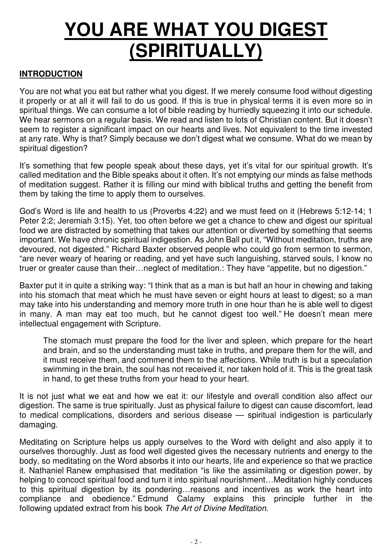# **YOU ARE WHAT YOU DIGEST (SPIRITUALLY)**

#### **INTRODUCTION**

You are not what you eat but rather what you digest. If we merely consume food without digesting it properly or at all it will fail to do us good. If this is true in physical terms it is even more so in spiritual things. We can consume a lot of bible reading by hurriedly squeezing it into our schedule. We hear sermons on a regular basis. We read and listen to lots of Christian content. But it doesn't seem to register a significant impact on our hearts and lives. Not equivalent to the time invested at any rate. Why is that? Simply because we don't digest what we consume. What do we mean by spiritual digestion?

It's something that few people speak about these days, yet it's vital for our spiritual growth. It's called meditation and the Bible speaks about it often. It's not emptying our minds as false methods of meditation suggest. Rather it is filling our mind with biblical truths and getting the benefit from them by taking the time to apply them to ourselves.

God's Word is life and health to us (Proverbs 4:22) and we must feed on it (Hebrews 5:12-14; 1 Peter 2:2; Jeremiah 3:15). Yet, too often before we get a chance to chew and digest our spiritual food we are distracted by something that takes our attention or diverted by something that seems important. We have chronic spiritual indigestion. As John Ball put it, "Without meditation, truths are devoured, not digested." Richard Baxter observed people who could go from sermon to sermon, "are never weary of hearing or reading, and yet have such languishing, starved souls, I know no truer or greater cause than their…neglect of meditation.: They have "appetite, but no digestion."

Baxter put it in quite a striking way: "I think that as a man is but half an hour in chewing and taking into his stomach that meat which he must have seven or eight hours at least to digest; so a man may take into his understanding and memory more truth in one hour than he is able well to digest in many. A man may eat too much, but he cannot digest too well." He doesn't mean mere intellectual engagement with Scripture.

The stomach must prepare the food for the liver and spleen, which prepare for the heart and brain, and so the understanding must take in truths, and prepare them for the will, and it must receive them, and commend them to the affections. While truth is but a speculation swimming in the brain, the soul has not received it, nor taken hold of it. This is the great task in hand, to get these truths from your head to your heart.

It is not just what we eat and how we eat it: our lifestyle and overall condition also affect our digestion. The same is true spiritually. Just as physical failure to digest can cause discomfort, lead to medical complications, disorders and serious disease — spiritual indigestion is particularly damaging.

Meditating on Scripture helps us apply ourselves to the Word with delight and also apply it to ourselves thoroughly. Just as food well digested gives the necessary nutrients and energy to the body, so meditating on the Word absorbs it into our hearts, life and experience so that we practice it. Nathaniel Ranew emphasised that meditation "is like the assimilating or digestion power, by helping to concoct spiritual food and turn it into spiritual nourishment…Meditation highly conduces to this spiritual digestion by its pondering…reasons and incentives as work the heart into compliance and obedience." Edmund Calamy explains this principle further in the following updated extract from his book The Art of Divine Meditation.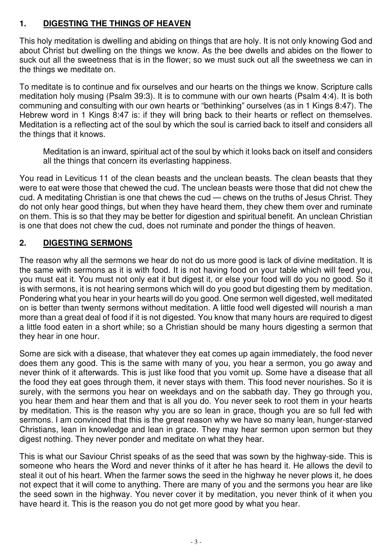#### **1. DIGESTING THE THINGS OF HEAVEN**

This holy meditation is dwelling and abiding on things that are holy. It is not only knowing God and about Christ but dwelling on the things we know. As the bee dwells and abides on the flower to suck out all the sweetness that is in the flower; so we must suck out all the sweetness we can in the things we meditate on.

To meditate is to continue and fix ourselves and our hearts on the things we know. Scripture calls meditation holy musing (Psalm 39:3). It is to commune with our own hearts (Psalm 4:4). It is both communing and consulting with our own hearts or "bethinking" ourselves (as in 1 Kings 8:47). The Hebrew word in 1 Kings 8:47 is: if they will bring back to their hearts or reflect on themselves. Meditation is a reflecting act of the soul by which the soul is carried back to itself and considers all the things that it knows.

Meditation is an inward, spiritual act of the soul by which it looks back on itself and considers all the things that concern its everlasting happiness.

You read in Leviticus 11 of the clean beasts and the unclean beasts. The clean beasts that they were to eat were those that chewed the cud. The unclean beasts were those that did not chew the cud. A meditating Christian is one that chews the cud — chews on the truths of Jesus Christ. They do not only hear good things, but when they have heard them, they chew them over and ruminate on them. This is so that they may be better for digestion and spiritual benefit. An unclean Christian is one that does not chew the cud, does not ruminate and ponder the things of heaven.

#### **2. DIGESTING SERMONS**

The reason why all the sermons we hear do not do us more good is lack of divine meditation. It is the same with sermons as it is with food. It is not having food on your table which will feed you, you must eat it. You must not only eat it but digest it, or else your food will do you no good. So it is with sermons, it is not hearing sermons which will do you good but digesting them by meditation. Pondering what you hear in your hearts will do you good. One sermon well digested, well meditated on is better than twenty sermons without meditation. A little food well digested will nourish a man more than a great deal of food if it is not digested. You know that many hours are required to digest a little food eaten in a short while; so a Christian should be many hours digesting a sermon that they hear in one hour.

Some are sick with a disease, that whatever they eat comes up again immediately, the food never does them any good. This is the same with many of you, you hear a sermon, you go away and never think of it afterwards. This is just like food that you vomit up. Some have a disease that all the food they eat goes through them, it never stays with them. This food never nourishes. So it is surely, with the sermons you hear on weekdays and on the sabbath day. They go through you, you hear them and hear them and that is all you do. You never seek to root them in your hearts by meditation. This is the reason why you are so lean in grace, though you are so full fed with sermons. I am convinced that this is the great reason why we have so many lean, hunger-starved Christians, lean in knowledge and lean in grace. They may hear sermon upon sermon but they digest nothing. They never ponder and meditate on what they hear.

This is what our Saviour Christ speaks of as the seed that was sown by the highway-side. This is someone who hears the Word and never thinks of it after he has heard it. He allows the devil to steal it out of his heart. When the farmer sows the seed in the highway he never plows it, he does not expect that it will come to anything. There are many of you and the sermons you hear are like the seed sown in the highway. You never cover it by meditation, you never think of it when you have heard it. This is the reason you do not get more good by what you hear.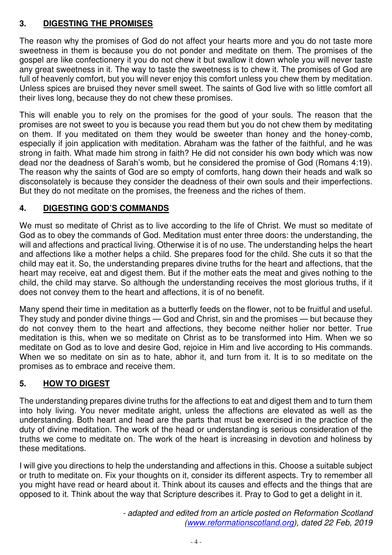#### **3. DIGESTING THE PROMISES**

The reason why the promises of God do not affect your hearts more and you do not taste more sweetness in them is because you do not ponder and meditate on them. The promises of the gospel are like confectionery it you do not chew it but swallow it down whole you will never taste any great sweetness in it. The way to taste the sweetness is to chew it. The promises of God are full of heavenly comfort, but you will never enjoy this comfort unless you chew them by meditation. Unless spices are bruised they never smell sweet. The saints of God live with so little comfort all their lives long, because they do not chew these promises.

This will enable you to rely on the promises for the good of your souls. The reason that the promises are not sweet to you is because you read them but you do not chew them by meditating on them. If you meditated on them they would be sweeter than honey and the honey-comb, especially if join application with meditation. Abraham was the father of the faithful, and he was strong in faith. What made him strong in faith? He did not consider his own body which was now dead nor the deadness of Sarah's womb, but he considered the promise of God (Romans 4:19). The reason why the saints of God are so empty of comforts, hang down their heads and walk so disconsolately is because they consider the deadness of their own souls and their imperfections. But they do not meditate on the promises, the freeness and the riches of them.

#### **4. DIGESTING GOD 'S COMMANDS**

We must so meditate of Christ as to live according to the life of Christ. We must so meditate of God as to obey the commands of God. Meditation must enter three doors: the understanding, the will and affections and practical living. Otherwise it is of no use. The understanding helps the heart and affections like a mother helps a child. She prepares food for the child. She cuts it so that the child may eat it. So, the understanding prepares divine truths for the heart and affections, that the heart may receive, eat and digest them. But if the mother eats the meat and gives nothing to the child, the child may starve. So although the understanding receives the most glorious truths, if it does not convey them to the heart and affections, it is of no benefit.

Many spend their time in meditation as a butterfly feeds on the flower, not to be fruitful and useful. They study and ponder divine things — God and Christ, sin and the promises — but because they do not convey them to the heart and affections, they become neither holier nor better. True meditation is this, when we so meditate on Christ as to be transformed into Him. When we so meditate on God as to love and desire God, rejoice in Him and live according to His commands. When we so meditate on sin as to hate, abhor it, and turn from it. It is to so meditate on the promises as to embrace and receive them.

#### **5. HOW TO DIGEST**

The understanding prepares divine truths for the affections to eat and digest them and to turn them into holy living. You never meditate aright, unless the affections are elevated as well as the understanding. Both heart and head are the parts that must be exercised in the practice of the duty of divine meditation. The work of the head or understanding is serious consideration of the truths we come to meditate on. The work of the heart is increasing in devotion and holiness by these meditations.

I will give you directions to help the understanding and affections in this. Choose a suitable subject or truth to meditate on. Fix your thoughts on it, consider its different aspects. Try to remember all you might have read or heard about it. Think about its causes and effects and the things that are opposed to it. Think about the way that Scripture describes it. Pray to God to get a delight in it.

> - adapted and edited from an article posted on Reformation Scotland (www.reformationscotland.org), dated 22 Feb, 2019